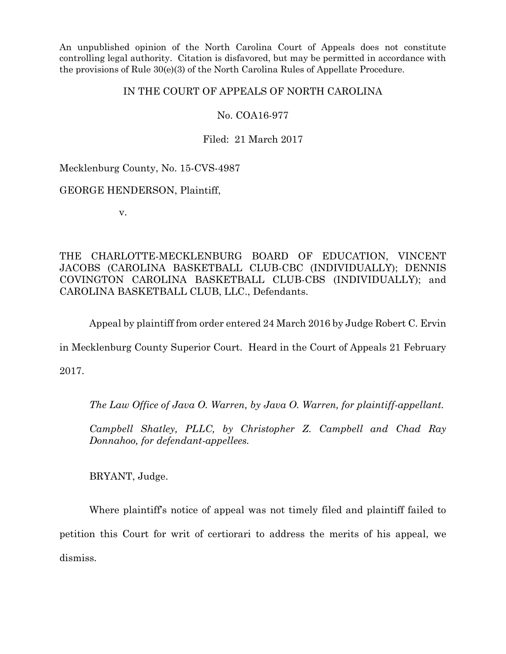An unpublished opinion of the North Carolina Court of Appeals does not constitute controlling legal authority. Citation is disfavored, but may be permitted in accordance with the provisions of Rule 30(e)(3) of the North Carolina Rules of Appellate Procedure.

## IN THE COURT OF APPEALS OF NORTH CAROLINA

# No. COA16-977

Filed: 21 March 2017

Mecklenburg County, No. 15-CVS-4987

GEORGE HENDERSON, Plaintiff,

v.

THE CHARLOTTE-MECKLENBURG BOARD OF EDUCATION, VINCENT JACOBS (CAROLINA BASKETBALL CLUB-CBC (INDIVIDUALLY); DENNIS COVINGTON CAROLINA BASKETBALL CLUB-CBS (INDIVIDUALLY); and CAROLINA BASKETBALL CLUB, LLC., Defendants.

Appeal by plaintiff from order entered 24 March 2016 by Judge Robert C. Ervin

in Mecklenburg County Superior Court. Heard in the Court of Appeals 21 February

2017.

*The Law Office of Java O. Warren, by Java O. Warren, for plaintiff-appellant.*

*Campbell Shatley, PLLC, by Christopher Z. Campbell and Chad Ray Donnahoo, for defendant-appellees.*

BRYANT, Judge.

Where plaintiff's notice of appeal was not timely filed and plaintiff failed to petition this Court for writ of certiorari to address the merits of his appeal, we dismiss.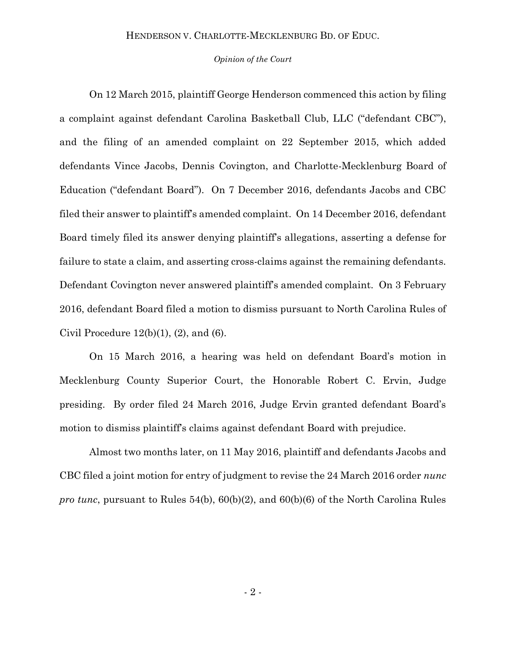### HENDERSON V. CHARLOTTE-MECKLENBURG BD. OF EDUC.

#### *Opinion of the Court*

On 12 March 2015, plaintiff George Henderson commenced this action by filing a complaint against defendant Carolina Basketball Club, LLC ("defendant CBC"), and the filing of an amended complaint on 22 September 2015, which added defendants Vince Jacobs, Dennis Covington, and Charlotte-Mecklenburg Board of Education ("defendant Board"). On 7 December 2016, defendants Jacobs and CBC filed their answer to plaintiff's amended complaint. On 14 December 2016, defendant Board timely filed its answer denying plaintiff's allegations, asserting a defense for failure to state a claim, and asserting cross-claims against the remaining defendants. Defendant Covington never answered plaintiff's amended complaint. On 3 February 2016, defendant Board filed a motion to dismiss pursuant to North Carolina Rules of Civil Procedure  $12(b)(1)$ ,  $(2)$ , and  $(6)$ .

On 15 March 2016, a hearing was held on defendant Board's motion in Mecklenburg County Superior Court, the Honorable Robert C. Ervin, Judge presiding. By order filed 24 March 2016, Judge Ervin granted defendant Board's motion to dismiss plaintiff's claims against defendant Board with prejudice.

Almost two months later, on 11 May 2016, plaintiff and defendants Jacobs and CBC filed a joint motion for entry of judgment to revise the 24 March 2016 order *nunc pro tunc*, pursuant to Rules 54(b), 60(b)(2), and 60(b)(6) of the North Carolina Rules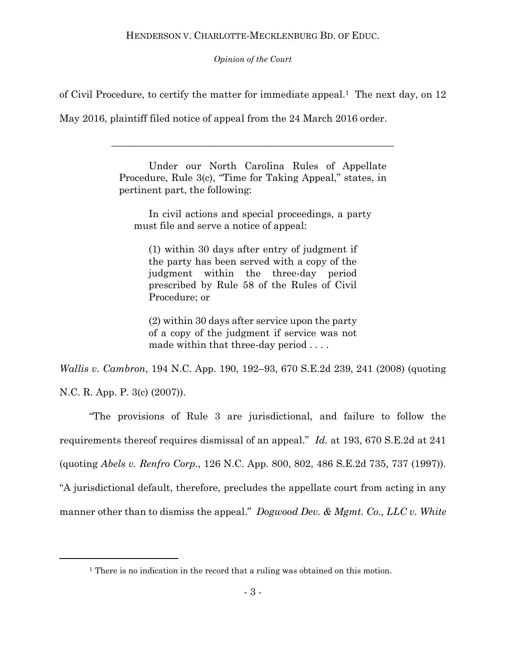*Opinion of the Court*

of Civil Procedure, to certify the matter for immediate appeal.<sup>1</sup> The next day, on 12

May 2016, plaintiff filed notice of appeal from the 24 March 2016 order.

Under our North Carolina Rules of Appellate Procedure, Rule 3(c), "Time for Taking Appeal," states, in pertinent part, the following:

\_\_\_\_\_\_\_\_\_\_\_\_\_\_\_\_\_\_\_\_\_\_\_\_\_\_\_\_\_\_\_\_\_\_\_\_\_\_\_\_\_\_\_\_\_\_\_\_\_\_\_\_\_\_\_\_\_

In civil actions and special proceedings, a party must file and serve a notice of appeal:

(1) within 30 days after entry of judgment if the party has been served with a copy of the judgment within the three-day period prescribed by Rule 58 of the Rules of Civil Procedure; or

(2) within 30 days after service upon the party of a copy of the judgment if service was not made within that three-day period . . . .

*Wallis v. Cambron*, 194 N.C. App. 190, 192–93, 670 S.E.2d 239, 241 (2008) (quoting N.C. R. App. P. 3(c) (2007)).

"The provisions of Rule 3 are jurisdictional, and failure to follow the requirements thereof requires dismissal of an appeal." *Id.* at 193, 670 S.E.2d at 241 (quoting *Abels v. Renfro Corp.*, 126 N.C. App. 800, 802, 486 S.E.2d 735, 737 (1997)). "A jurisdictional default, therefore, precludes the appellate court from acting in any manner other than to dismiss the appeal." *Dogwood Dev. & Mgmt. Co., LLC v. White* 

l

<sup>&</sup>lt;sup>1</sup> There is no indication in the record that a ruling was obtained on this motion.